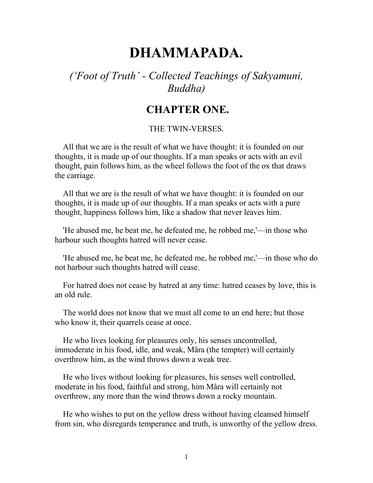# **DHAMMAPADA.**

## *('Foot of Truth' - Collected Teachings of Sakyamuni, Buddha)*

## **CHAPTER ONE.**

#### THE TWIN-VERSES.

 All that we are is the result of what we have thought: it is founded on our thoughts, it is made up of our thoughts. If a man speaks or acts with an evil thought, pain follows him, as the wheel follows the foot of the ox that draws the carriage.

 All that we are is the result of what we have thought: it is founded on our thoughts, it is made up of our thoughts. If a man speaks or acts with a pure thought, happiness follows him, like a shadow that never leaves him.

 'He abused me, he beat me, he defeated me, he robbed me,'—in those who harbour such thoughts hatred will never cease.

 'He abused me, he beat me, he defeated me, he robbed me,'—in those who do not harbour such thoughts hatred will cease.

 For hatred does not cease by hatred at any time: hatred ceases by love, this is an old rule.

 The world does not know that we must all come to an end here; but those who know it, their quarrels cease at once.

 He who lives looking for pleasures only, his senses uncontrolled, immoderate in his food, idle, and weak, Mâra (the tempter) will certainly overthrow him, as the wind throws down a weak tree.

 He who lives without looking for pleasures, his senses well controlled, moderate in his food, faithful and strong, him Mâra will certainly not overthrow, any more than the wind throws down a rocky mountain.

 He who wishes to put on the yellow dress without having cleansed himself from sin, who disregards temperance and truth, is unworthy of the yellow dress.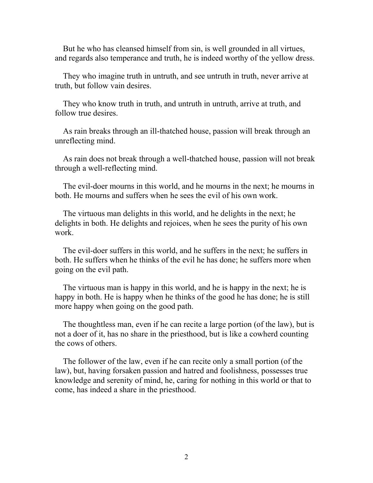But he who has cleansed himself from sin, is well grounded in all virtues, and regards also temperance and truth, he is indeed worthy of the yellow dress.

 They who imagine truth in untruth, and see untruth in truth, never arrive at truth, but follow vain desires.

 They who know truth in truth, and untruth in untruth, arrive at truth, and follow true desires.

 As rain breaks through an ill-thatched house, passion will break through an unreflecting mind.

 As rain does not break through a well-thatched house, passion will not break through a well-reflecting mind.

 The evil-doer mourns in this world, and he mourns in the next; he mourns in both. He mourns and suffers when he sees the evil of his own work.

 The virtuous man delights in this world, and he delights in the next; he delights in both. He delights and rejoices, when he sees the purity of his own work.

 The evil-doer suffers in this world, and he suffers in the next; he suffers in both. He suffers when he thinks of the evil he has done; he suffers more when going on the evil path.

 The virtuous man is happy in this world, and he is happy in the next; he is happy in both. He is happy when he thinks of the good he has done; he is still more happy when going on the good path.

 The thoughtless man, even if he can recite a large portion (of the law), but is not a doer of it, has no share in the priesthood, but is like a cowherd counting the cows of others.

 The follower of the law, even if he can recite only a small portion (of the law), but, having forsaken passion and hatred and foolishness, possesses true knowledge and serenity of mind, he, caring for nothing in this world or that to come, has indeed a share in the priesthood.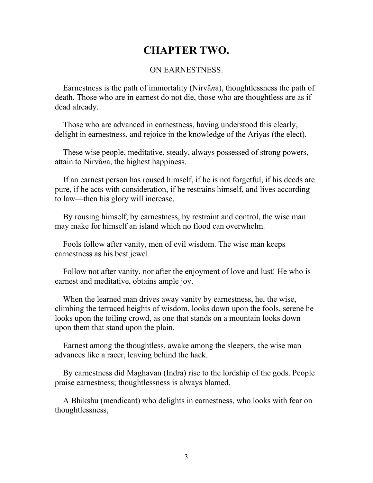## **CHAPTER TWO.**

### ON EARNESTNESS.

 Earnestness is the path of immortality (Nirvâ*n*a), thoughtlessness the path of death. Those who are in earnest do not die, those who are thoughtless are as if dead already.

 Those who are advanced in earnestness, having understood this clearly, delight in earnestness, and rejoice in the knowledge of the Ariyas (the elect).

 These wise people, meditative, steady, always possessed of strong powers, attain to Nirvâ*n*a, the highest happiness.

 If an earnest person has roused himself, if he is not forgetful, if his deeds are pure, if he acts with consideration, if he restrains himself, and lives according to law—then his glory will increase.

 By rousing himself, by earnestness, by restraint and control, the wise man may make for himself an island which no flood can overwhelm.

 Fools follow after vanity, men of evil wisdom. The wise man keeps earnestness as his best jewel.

 Follow not after vanity, nor after the enjoyment of love and lust! He who is earnest and meditative, obtains ample joy.

 When the learned man drives away vanity by earnestness, he, the wise, climbing the terraced heights of wisdom, looks down upon the fools, serene he looks upon the toiling crowd, as one that stands on a mountain looks down upon them that stand upon the plain.

 Earnest among the thoughtless, awake among the sleepers, the wise man advances like a racer, leaving behind the hack.

 By earnestness did Maghavan (Indra) rise to the lordship of the gods. People praise earnestness; thoughtlessness is always blamed.

 A Bhikshu (mendicant) who delights in earnestness, who looks with fear on thoughtlessness,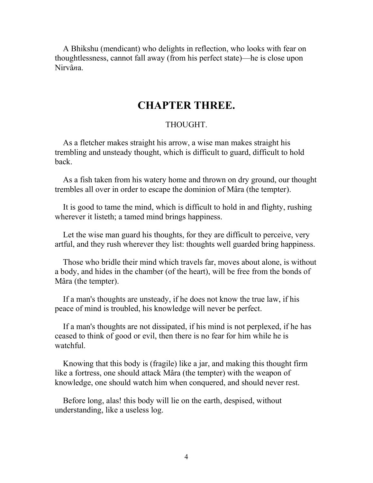A Bhikshu (mendicant) who delights in reflection, who looks with fear on thoughtlessness, cannot fall away (from his perfect state)—he is close upon Nirvâ*n*a.

## **CHAPTER THREE.**

### THOUGHT.

 As a fletcher makes straight his arrow, a wise man makes straight his trembling and unsteady thought, which is difficult to guard, difficult to hold back.

 As a fish taken from his watery home and thrown on dry ground, our thought trembles all over in order to escape the dominion of Mâra (the tempter).

 It is good to tame the mind, which is difficult to hold in and flighty, rushing wherever it listeth; a tamed mind brings happiness.

 Let the wise man guard his thoughts, for they are difficult to perceive, very artful, and they rush wherever they list: thoughts well guarded bring happiness.

 Those who bridle their mind which travels far, moves about alone, is without a body, and hides in the chamber (of the heart), will be free from the bonds of Mâra (the tempter).

 If a man's thoughts are unsteady, if he does not know the true law, if his peace of mind is troubled, his knowledge will never be perfect.

 If a man's thoughts are not dissipated, if his mind is not perplexed, if he has ceased to think of good or evil, then there is no fear for him while he is watchful.

 Knowing that this body is (fragile) like a jar, and making this thought firm like a fortress, one should attack Mâra (the tempter) with the weapon of knowledge, one should watch him when conquered, and should never rest.

 Before long, alas! this body will lie on the earth, despised, without understanding, like a useless log.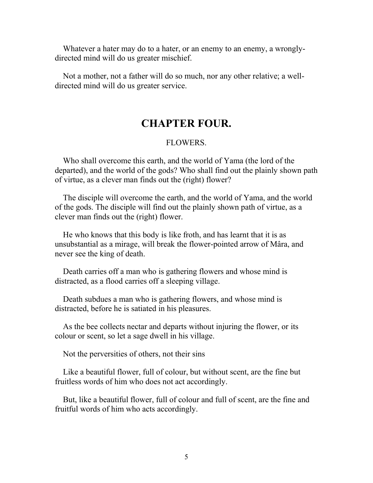Whatever a hater may do to a hater, or an enemy to an enemy, a wronglydirected mind will do us greater mischief.

 Not a mother, not a father will do so much, nor any other relative; a welldirected mind will do us greater service.

## **CHAPTER FOUR.**

#### FLOWERS.

 Who shall overcome this earth, and the world of Yama (the lord of the departed), and the world of the gods? Who shall find out the plainly shown path of virtue, as a clever man finds out the (right) flower?

 The disciple will overcome the earth, and the world of Yama, and the world of the gods. The disciple will find out the plainly shown path of virtue, as a clever man finds out the (right) flower.

 He who knows that this body is like froth, and has learnt that it is as unsubstantial as a mirage, will break the flower-pointed arrow of Mâra, and never see the king of death.

 Death carries off a man who is gathering flowers and whose mind is distracted, as a flood carries off a sleeping village.

 Death subdues a man who is gathering flowers, and whose mind is distracted, before he is satiated in his pleasures.

 As the bee collects nectar and departs without injuring the flower, or its colour or scent, so let a sage dwell in his village.

Not the perversities of others, not their sins

 Like a beautiful flower, full of colour, but without scent, are the fine but fruitless words of him who does not act accordingly.

 But, like a beautiful flower, full of colour and full of scent, are the fine and fruitful words of him who acts accordingly.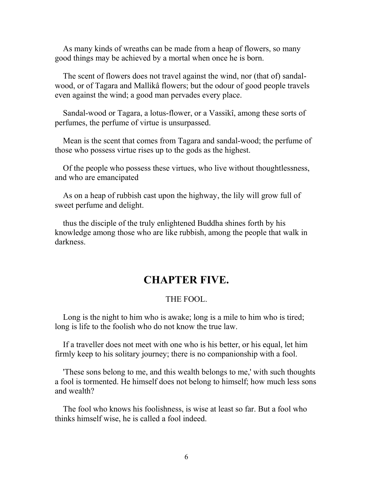As many kinds of wreaths can be made from a heap of flowers, so many good things may be achieved by a mortal when once he is born.

 The scent of flowers does not travel against the wind, nor (that of) sandalwood, or of Tagara and Mallikâ flowers; but the odour of good people travels even against the wind; a good man pervades every place.

 Sandal-wood or Tagara, a lotus-flower, or a Vassikî, among these sorts of perfumes, the perfume of virtue is unsurpassed.

 Mean is the scent that comes from Tagara and sandal-wood; the perfume of those who possess virtue rises up to the gods as the highest.

 Of the people who possess these virtues, who live without thoughtlessness, and who are emancipated

 As on a heap of rubbish cast upon the highway, the lily will grow full of sweet perfume and delight.

 thus the disciple of the truly enlightened Buddha shines forth by his knowledge among those who are like rubbish, among the people that walk in darkness.

## **CHAPTER FIVE.**

### THE FOOL.

 Long is the night to him who is awake; long is a mile to him who is tired; long is life to the foolish who do not know the true law.

 If a traveller does not meet with one who is his better, or his equal, let him firmly keep to his solitary journey; there is no companionship with a fool.

 'These sons belong to me, and this wealth belongs to me,' with such thoughts a fool is tormented. He himself does not belong to himself; how much less sons and wealth?

 The fool who knows his foolishness, is wise at least so far. But a fool who thinks himself wise, he is called a fool indeed.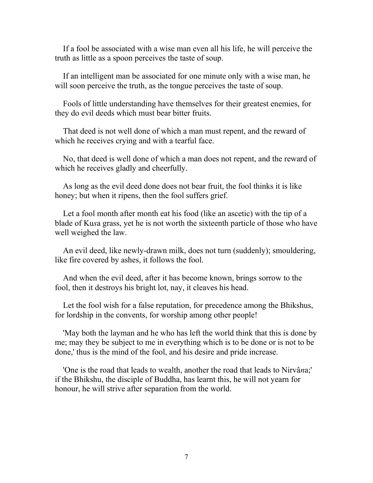If a fool be associated with a wise man even all his life, he will perceive the truth as little as a spoon perceives the taste of soup.

 If an intelligent man be associated for one minute only with a wise man, he will soon perceive the truth, as the tongue perceives the taste of soup.

 Fools of little understanding have themselves for their greatest enemies, for they do evil deeds which must bear bitter fruits.

 That deed is not well done of which a man must repent, and the reward of which he receives crying and with a tearful face.

 No, that deed is well done of which a man does not repent, and the reward of which he receives gladly and cheerfully.

 As long as the evil deed done does not bear fruit, the fool thinks it is like honey; but when it ripens, then the fool suffers grief.

 Let a fool month after month eat his food (like an ascetic) with the tip of a blade of Ku*s*a grass, yet he is not worth the sixteenth particle of those who have well weighed the law.

 An evil deed, like newly-drawn milk, does not turn (suddenly); smouldering, like fire covered by ashes, it follows the fool.

 And when the evil deed, after it has become known, brings sorrow to the fool, then it destroys his bright lot, nay, it cleaves his head.

 Let the fool wish for a false reputation, for precedence among the Bhikshus, for lordship in the convents, for worship among other people!

 'May both the layman and he who has left the world think that this is done by me; may they be subject to me in everything which is to be done or is not to be done,' thus is the mind of the fool, and his desire and pride increase.

 'One is the road that leads to wealth, another the road that leads to Nirvâ*n*a;' if the Bhikshu, the disciple of Buddha, has learnt this, he will not yearn for honour, he will strive after separation from the world.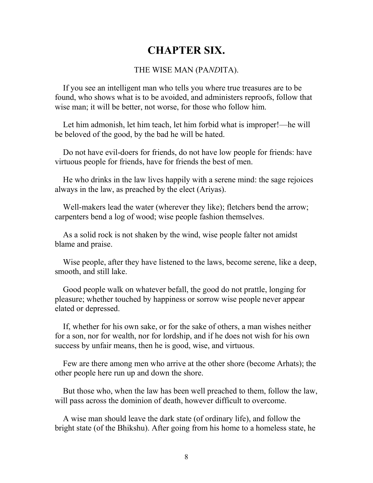## **CHAPTER SIX.**

### THE WISE MAN (PA*ND*ITA).

 If you see an intelligent man who tells you where true treasures are to be found, who shows what is to be avoided, and administers reproofs, follow that wise man; it will be better, not worse, for those who follow him.

 Let him admonish, let him teach, let him forbid what is improper!—he will be beloved of the good, by the bad he will be hated.

 Do not have evil-doers for friends, do not have low people for friends: have virtuous people for friends, have for friends the best of men.

 He who drinks in the law lives happily with a serene mind: the sage rejoices always in the law, as preached by the elect (Ariyas).

 Well-makers lead the water (wherever they like); fletchers bend the arrow; carpenters bend a log of wood; wise people fashion themselves.

 As a solid rock is not shaken by the wind, wise people falter not amidst blame and praise.

 Wise people, after they have listened to the laws, become serene, like a deep, smooth, and still lake.

 Good people walk on whatever befall, the good do not prattle, longing for pleasure; whether touched by happiness or sorrow wise people never appear elated or depressed.

 If, whether for his own sake, or for the sake of others, a man wishes neither for a son, nor for wealth, nor for lordship, and if he does not wish for his own success by unfair means, then he is good, wise, and virtuous.

 Few are there among men who arrive at the other shore (become Arhats); the other people here run up and down the shore.

 But those who, when the law has been well preached to them, follow the law, will pass across the dominion of death, however difficult to overcome.

 A wise man should leave the dark state (of ordinary life), and follow the bright state (of the Bhikshu). After going from his home to a homeless state, he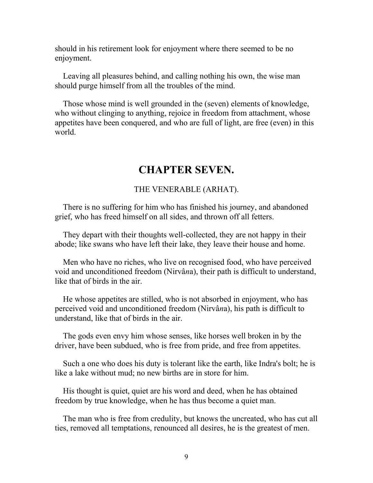should in his retirement look for enjoyment where there seemed to be no enjoyment.

 Leaving all pleasures behind, and calling nothing his own, the wise man should purge himself from all the troubles of the mind.

 Those whose mind is well grounded in the (seven) elements of knowledge, who without clinging to anything, rejoice in freedom from attachment, whose appetites have been conquered, and who are full of light, are free (even) in this world.

## **CHAPTER SEVEN.**

### THE VENERABLE (ARHAT).

 There is no suffering for him who has finished his journey, and abandoned grief, who has freed himself on all sides, and thrown off all fetters.

 They depart with their thoughts well-collected, they are not happy in their abode; like swans who have left their lake, they leave their house and home.

 Men who have no riches, who live on recognised food, who have perceived void and unconditioned freedom (Nirvâ*n*a), their path is difficult to understand, like that of birds in the air.

 He whose appetites are stilled, who is not absorbed in enjoyment, who has perceived void and unconditioned freedom (Nirvâ*n*a), his path is difficult to understand, like that of birds in the air.

 The gods even envy him whose senses, like horses well broken in by the driver, have been subdued, who is free from pride, and free from appetites.

 Such a one who does his duty is tolerant like the earth, like Indra's bolt; he is like a lake without mud; no new births are in store for him.

 His thought is quiet, quiet are his word and deed, when he has obtained freedom by true knowledge, when he has thus become a quiet man.

 The man who is free from credulity, but knows the uncreated, who has cut all ties, removed all temptations, renounced all desires, he is the greatest of men.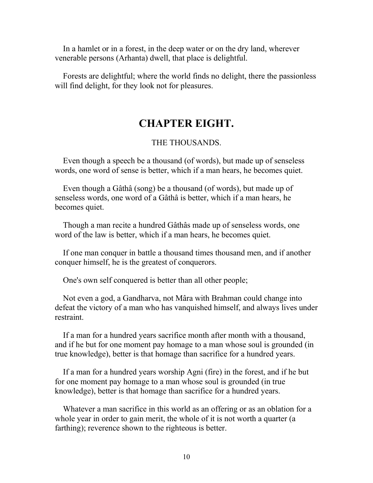In a hamlet or in a forest, in the deep water or on the dry land, wherever venerable persons (Arhanta) dwell, that place is delightful.

 Forests are delightful; where the world finds no delight, there the passionless will find delight, for they look not for pleasures.

## **CHAPTER EIGHT.**

#### THE THOUSANDS.

 Even though a speech be a thousand (of words), but made up of senseless words, one word of sense is better, which if a man hears, he becomes quiet.

 Even though a Gâthâ (song) be a thousand (of words), but made up of senseless words, one word of a Gâthâ is better, which if a man hears, he becomes quiet.

 Though a man recite a hundred Gâthâs made up of senseless words, one word of the law is better, which if a man hears, he becomes quiet.

 If one man conquer in battle a thousand times thousand men, and if another conquer himself, he is the greatest of conquerors.

One's own self conquered is better than all other people;

 Not even a god, a Gandharva, not Mâra with Brahman could change into defeat the victory of a man who has vanquished himself, and always lives under restraint.

 If a man for a hundred years sacrifice month after month with a thousand, and if he but for one moment pay homage to a man whose soul is grounded (in true knowledge), better is that homage than sacrifice for a hundred years.

 If a man for a hundred years worship Agni (fire) in the forest, and if he but for one moment pay homage to a man whose soul is grounded (in true knowledge), better is that homage than sacrifice for a hundred years.

 Whatever a man sacrifice in this world as an offering or as an oblation for a whole year in order to gain merit, the whole of it is not worth a quarter (a farthing); reverence shown to the righteous is better.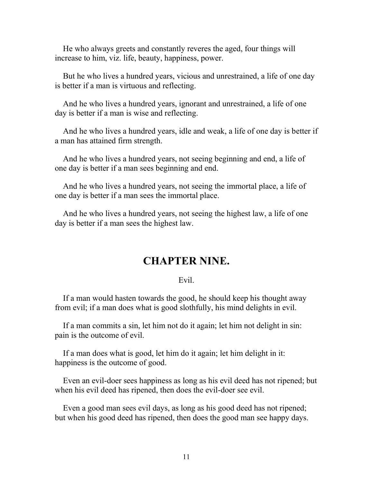He who always greets and constantly reveres the aged, four things will increase to him, viz. life, beauty, happiness, power.

 But he who lives a hundred years, vicious and unrestrained, a life of one day is better if a man is virtuous and reflecting.

 And he who lives a hundred years, ignorant and unrestrained, a life of one day is better if a man is wise and reflecting.

 And he who lives a hundred years, idle and weak, a life of one day is better if a man has attained firm strength.

 And he who lives a hundred years, not seeing beginning and end, a life of one day is better if a man sees beginning and end.

 And he who lives a hundred years, not seeing the immortal place, a life of one day is better if a man sees the immortal place.

 And he who lives a hundred years, not seeing the highest law, a life of one day is better if a man sees the highest law.

## **CHAPTER NINE.**

### Evil.

 If a man would hasten towards the good, he should keep his thought away from evil; if a man does what is good slothfully, his mind delights in evil.

 If a man commits a sin, let him not do it again; let him not delight in sin: pain is the outcome of evil.

 If a man does what is good, let him do it again; let him delight in it: happiness is the outcome of good.

 Even an evil-doer sees happiness as long as his evil deed has not ripened; but when his evil deed has ripened, then does the evil-doer see evil.

 Even a good man sees evil days, as long as his good deed has not ripened; but when his good deed has ripened, then does the good man see happy days.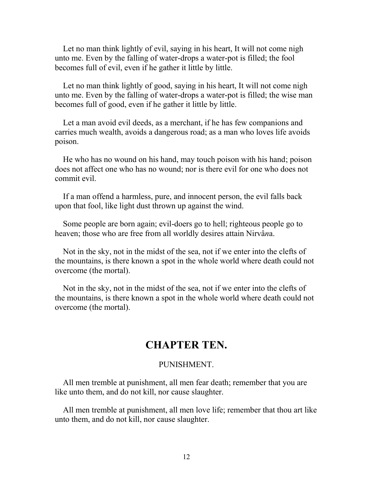Let no man think lightly of evil, saying in his heart, It will not come nigh unto me. Even by the falling of water-drops a water-pot is filled; the fool becomes full of evil, even if he gather it little by little.

 Let no man think lightly of good, saying in his heart, It will not come nigh unto me. Even by the falling of water-drops a water-pot is filled; the wise man becomes full of good, even if he gather it little by little.

 Let a man avoid evil deeds, as a merchant, if he has few companions and carries much wealth, avoids a dangerous road; as a man who loves life avoids poison.

 He who has no wound on his hand, may touch poison with his hand; poison does not affect one who has no wound; nor is there evil for one who does not commit evil.

 If a man offend a harmless, pure, and innocent person, the evil falls back upon that fool, like light dust thrown up against the wind.

 Some people are born again; evil-doers go to hell; righteous people go to heaven; those who are free from all worldly desires attain Nirvâ*n*a.

 Not in the sky, not in the midst of the sea, not if we enter into the clefts of the mountains, is there known a spot in the whole world where death could not overcome (the mortal).

 Not in the sky, not in the midst of the sea, not if we enter into the clefts of the mountains, is there known a spot in the whole world where death could not overcome (the mortal).

### **CHAPTER TEN.**

#### PUNISHMENT.

 All men tremble at punishment, all men fear death; remember that you are like unto them, and do not kill, nor cause slaughter.

 All men tremble at punishment, all men love life; remember that thou art like unto them, and do not kill, nor cause slaughter.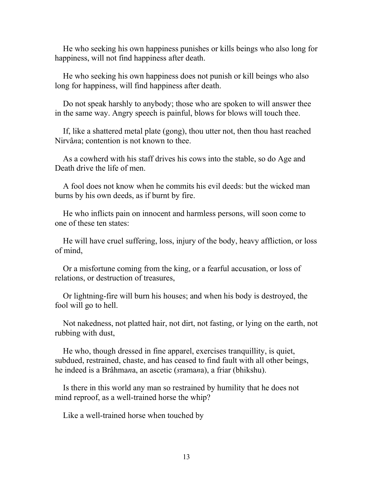He who seeking his own happiness punishes or kills beings who also long for happiness, will not find happiness after death.

 He who seeking his own happiness does not punish or kill beings who also long for happiness, will find happiness after death.

 Do not speak harshly to anybody; those who are spoken to will answer thee in the same way. Angry speech is painful, blows for blows will touch thee.

 If, like a shattered metal plate (gong), thou utter not, then thou hast reached Nirvâ*n*a; contention is not known to thee.

 As a cowherd with his staff drives his cows into the stable, so do Age and Death drive the life of men.

 A fool does not know when he commits his evil deeds: but the wicked man burns by his own deeds, as if burnt by fire.

 He who inflicts pain on innocent and harmless persons, will soon come to one of these ten states:

 He will have cruel suffering, loss, injury of the body, heavy affliction, or loss of mind,

 Or a misfortune coming from the king, or a fearful accusation, or loss of relations, or destruction of treasures,

 Or lightning-fire will burn his houses; and when his body is destroyed, the fool will go to hell.

 Not nakedness, not platted hair, not dirt, not fasting, or lying on the earth, not rubbing with dust,

 He who, though dressed in fine apparel, exercises tranquillity, is quiet, subdued, restrained, chaste, and has ceased to find fault with all other beings, he indeed is a Brâhma*n*a, an ascetic (*s*rama*n*a), a friar (bhikshu).

 Is there in this world any man so restrained by humility that he does not mind reproof, as a well-trained horse the whip?

Like a well-trained horse when touched by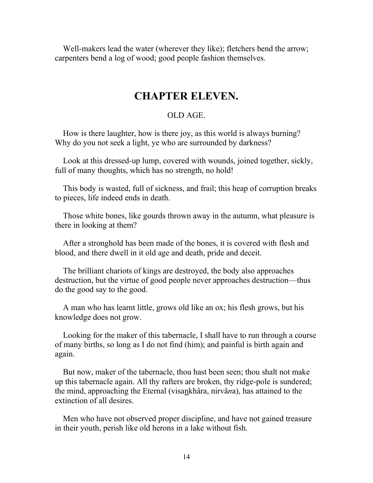Well-makers lead the water (wherever they like); fletchers bend the arrow; carpenters bend a log of wood; good people fashion themselves.

### **CHAPTER ELEVEN.**

### OLD AGE.

 How is there laughter, how is there joy, as this world is always burning? Why do you not seek a light, ye who are surrounded by darkness?

 Look at this dressed-up lump, covered with wounds, joined together, sickly, full of many thoughts, which has no strength, no hold!

 This body is wasted, full of sickness, and frail; this heap of corruption breaks to pieces, life indeed ends in death.

 Those white bones, like gourds thrown away in the autumn, what pleasure is there in looking at them?

 After a stronghold has been made of the bones, it is covered with flesh and blood, and there dwell in it old age and death, pride and deceit.

 The brilliant chariots of kings are destroyed, the body also approaches destruction, but the virtue of good people never approaches destruction—thus do the good say to the good.

 A man who has learnt little, grows old like an ox; his flesh grows, but his knowledge does not grow.

 Looking for the maker of this tabernacle, I shall have to run through a course of many births, so long as I do not find (him); and painful is birth again and again.

 But now, maker of the tabernacle, thou hast been seen; thou shalt not make up this tabernacle again. All thy rafters are broken, thy ridge-pole is sundered; the mind, approaching the Eternal (visankhâra, nirvâ*n*a), has attained to the extinction of all desires.

 Men who have not observed proper discipline, and have not gained treasure in their youth, perish like old herons in a lake without fish.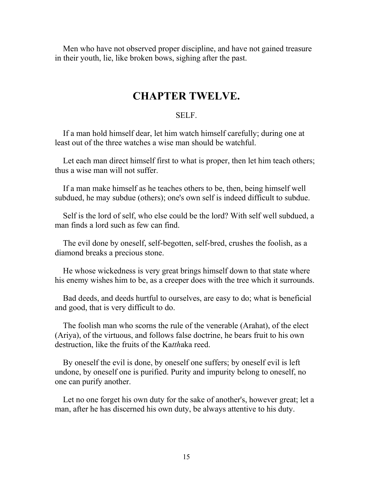Men who have not observed proper discipline, and have not gained treasure in their youth, lie, like broken bows, sighing after the past.

### **CHAPTER TWELVE.**

### SELF.

 If a man hold himself dear, let him watch himself carefully; during one at least out of the three watches a wise man should be watchful.

Let each man direct himself first to what is proper, then let him teach others; thus a wise man will not suffer.

 If a man make himself as he teaches others to be, then, being himself well subdued, he may subdue (others); one's own self is indeed difficult to subdue.

 Self is the lord of self, who else could be the lord? With self well subdued, a man finds a lord such as few can find.

 The evil done by oneself, self-begotten, self-bred, crushes the foolish, as a diamond breaks a precious stone.

 He whose wickedness is very great brings himself down to that state where his enemy wishes him to be, as a creeper does with the tree which it surrounds.

 Bad deeds, and deeds hurtful to ourselves, are easy to do; what is beneficial and good, that is very difficult to do.

 The foolish man who scorns the rule of the venerable (Arahat), of the elect (Ariya), of the virtuous, and follows false doctrine, he bears fruit to his own destruction, like the fruits of the Ka*tth*aka reed.

 By oneself the evil is done, by oneself one suffers; by oneself evil is left undone, by oneself one is purified. Purity and impurity belong to oneself, no one can purify another.

 Let no one forget his own duty for the sake of another's, however great; let a man, after he has discerned his own duty, be always attentive to his duty.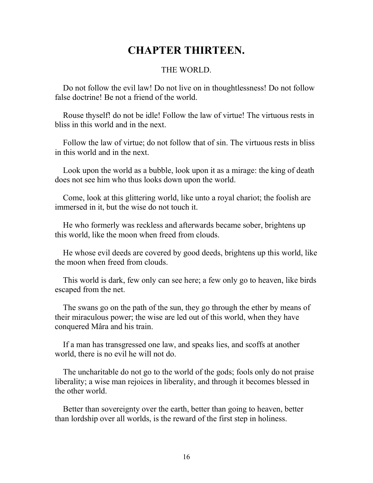## **CHAPTER THIRTEEN.**

### THE WORLD.

 Do not follow the evil law! Do not live on in thoughtlessness! Do not follow false doctrine! Be not a friend of the world.

 Rouse thyself! do not be idle! Follow the law of virtue! The virtuous rests in bliss in this world and in the next.

 Follow the law of virtue; do not follow that of sin. The virtuous rests in bliss in this world and in the next.

 Look upon the world as a bubble, look upon it as a mirage: the king of death does not see him who thus looks down upon the world.

 Come, look at this glittering world, like unto a royal chariot; the foolish are immersed in it, but the wise do not touch it.

 He who formerly was reckless and afterwards became sober, brightens up this world, like the moon when freed from clouds.

 He whose evil deeds are covered by good deeds, brightens up this world, like the moon when freed from clouds.

 This world is dark, few only can see here; a few only go to heaven, like birds escaped from the net.

 The swans go on the path of the sun, they go through the ether by means of their miraculous power; the wise are led out of this world, when they have conquered Mâra and his train.

 If a man has transgressed one law, and speaks lies, and scoffs at another world, there is no evil he will not do.

 The uncharitable do not go to the world of the gods; fools only do not praise liberality; a wise man rejoices in liberality, and through it becomes blessed in the other world.

 Better than sovereignty over the earth, better than going to heaven, better than lordship over all worlds, is the reward of the first step in holiness.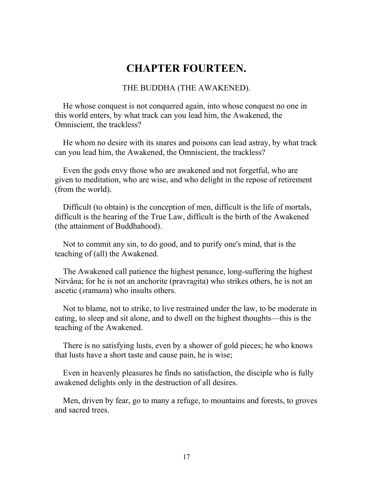## **CHAPTER FOURTEEN.**

THE BUDDHA (THE AWAKENED).

 He whose conquest is not conquered again, into whose conquest no one in this world enters, by what track can you lead him, the Awakened, the Omniscient, the trackless?

 He whom no desire with its snares and poisons can lead astray, by what track can you lead him, the Awakened, the Omniscient, the trackless?

 Even the gods envy those who are awakened and not forgetful, who are given to meditation, who are wise, and who delight in the repose of retirement (from the world).

 Difficult (to obtain) is the conception of men, difficult is the life of mortals, difficult is the hearing of the True Law, difficult is the birth of the Awakened (the attainment of Buddhahood).

 Not to commit any sin, to do good, and to purify one's mind, that is the teaching of (all) the Awakened.

 The Awakened call patience the highest penance, long-suffering the highest Nirvâ*n*a; for he is not an anchorite (pravra*g*ita) who strikes others, he is not an ascetic (*s*rama*n*a) who insults others.

 Not to blame, not to strike, to live restrained under the law, to be moderate in eating, to sleep and sit alone, and to dwell on the highest thoughts—this is the teaching of the Awakened.

 There is no satisfying lusts, even by a shower of gold pieces; he who knows that lusts have a short taste and cause pain, he is wise;

 Even in heavenly pleasures he finds no satisfaction, the disciple who is fully awakened delights only in the destruction of all desires.

 Men, driven by fear, go to many a refuge, to mountains and forests, to groves and sacred trees.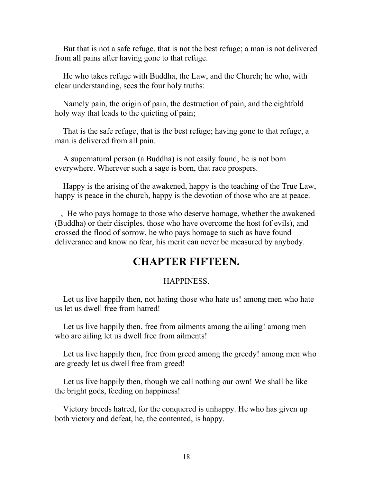But that is not a safe refuge, that is not the best refuge; a man is not delivered from all pains after having gone to that refuge.

 He who takes refuge with Buddha, the Law, and the Church; he who, with clear understanding, sees the four holy truths:

 Namely pain, the origin of pain, the destruction of pain, and the eightfold holy way that leads to the quieting of pain;

 That is the safe refuge, that is the best refuge; having gone to that refuge, a man is delivered from all pain.

 A supernatural person (a Buddha) is not easily found, he is not born everywhere. Wherever such a sage is born, that race prospers.

 Happy is the arising of the awakened, happy is the teaching of the True Law, happy is peace in the church, happy is the devotion of those who are at peace.

 , He who pays homage to those who deserve homage, whether the awakened (Buddha) or their disciples, those who have overcome the host (of evils), and crossed the flood of sorrow, he who pays homage to such as have found deliverance and know no fear, his merit can never be measured by anybody.

## **CHAPTER FIFTEEN.**

### HAPPINESS.

 Let us live happily then, not hating those who hate us! among men who hate us let us dwell free from hatred!

 Let us live happily then, free from ailments among the ailing! among men who are ailing let us dwell free from ailments!

 Let us live happily then, free from greed among the greedy! among men who are greedy let us dwell free from greed!

 Let us live happily then, though we call nothing our own! We shall be like the bright gods, feeding on happiness!

 Victory breeds hatred, for the conquered is unhappy. He who has given up both victory and defeat, he, the contented, is happy.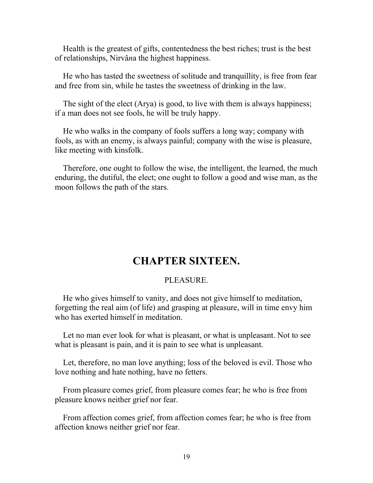Health is the greatest of gifts, contentedness the best riches; trust is the best of relationships, Nirvâ*n*a the highest happiness.

 He who has tasted the sweetness of solitude and tranquillity, is free from fear and free from sin, while he tastes the sweetness of drinking in the law.

 The sight of the elect (Arya) is good, to live with them is always happiness; if a man does not see fools, he will be truly happy.

 He who walks in the company of fools suffers a long way; company with fools, as with an enemy, is always painful; company with the wise is pleasure, like meeting with kinsfolk.

 Therefore, one ought to follow the wise, the intelligent, the learned, the much enduring, the dutiful, the elect; one ought to follow a good and wise man, as the moon follows the path of the stars.

## **CHAPTER SIXTEEN.**

### **PLEASURE**

 He who gives himself to vanity, and does not give himself to meditation, forgetting the real aim (of life) and grasping at pleasure, will in time envy him who has exerted himself in meditation.

 Let no man ever look for what is pleasant, or what is unpleasant. Not to see what is pleasant is pain, and it is pain to see what is unpleasant.

 Let, therefore, no man love anything; loss of the beloved is evil. Those who love nothing and hate nothing, have no fetters.

 From pleasure comes grief, from pleasure comes fear; he who is free from pleasure knows neither grief nor fear.

 From affection comes grief, from affection comes fear; he who is free from affection knows neither grief nor fear.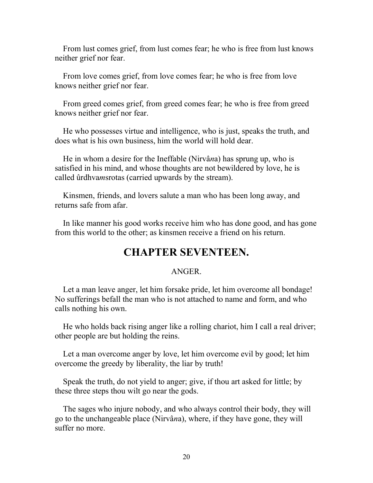From lust comes grief, from lust comes fear; he who is free from lust knows neither grief nor fear.

 From love comes grief, from love comes fear; he who is free from love knows neither grief nor fear.

 From greed comes grief, from greed comes fear; he who is free from greed knows neither grief nor fear.

 He who possesses virtue and intelligence, who is just, speaks the truth, and does what is his own business, him the world will hold dear.

 He in whom a desire for the Ineffable (Nirvâ*n*a) has sprung up, who is satisfied in his mind, and whose thoughts are not bewildered by love, he is called ûrdhva*m*srotas (carried upwards by the stream).

 Kinsmen, friends, and lovers salute a man who has been long away, and returns safe from afar.

 In like manner his good works receive him who has done good, and has gone from this world to the other; as kinsmen receive a friend on his return.

## **CHAPTER SEVENTEEN.**

### ANGER.

 Let a man leave anger, let him forsake pride, let him overcome all bondage! No sufferings befall the man who is not attached to name and form, and who calls nothing his own.

 He who holds back rising anger like a rolling chariot, him I call a real driver; other people are but holding the reins.

 Let a man overcome anger by love, let him overcome evil by good; let him overcome the greedy by liberality, the liar by truth!

 Speak the truth, do not yield to anger; give, if thou art asked for little; by these three steps thou wilt go near the gods.

 The sages who injure nobody, and who always control their body, they will go to the unchangeable place (Nirvâ*n*a), where, if they have gone, they will suffer no more.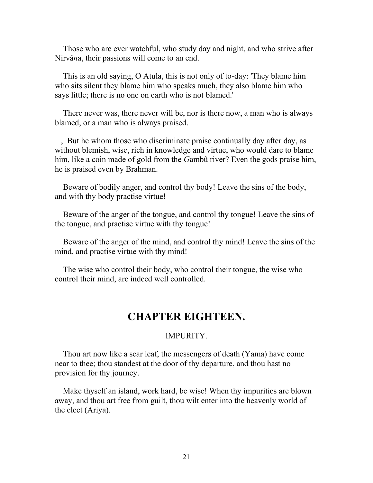Those who are ever watchful, who study day and night, and who strive after Nirvâ*n*a, their passions will come to an end.

 This is an old saying, O Atula, this is not only of to-day: 'They blame him who sits silent they blame him who speaks much, they also blame him who says little; there is no one on earth who is not blamed.'

 There never was, there never will be, nor is there now, a man who is always blamed, or a man who is always praised.

 , But he whom those who discriminate praise continually day after day, as without blemish, wise, rich in knowledge and virtue, who would dare to blame him, like a coin made of gold from the *G*ambû river? Even the gods praise him, he is praised even by Brahman.

 Beware of bodily anger, and control thy body! Leave the sins of the body, and with thy body practise virtue!

 Beware of the anger of the tongue, and control thy tongue! Leave the sins of the tongue, and practise virtue with thy tongue!

 Beware of the anger of the mind, and control thy mind! Leave the sins of the mind, and practise virtue with thy mind!

 The wise who control their body, who control their tongue, the wise who control their mind, are indeed well controlled.

## **CHAPTER EIGHTEEN.**

### IMPURITY.

 Thou art now like a sear leaf, the messengers of death (Yama) have come near to thee; thou standest at the door of thy departure, and thou hast no provision for thy journey.

 Make thyself an island, work hard, be wise! When thy impurities are blown away, and thou art free from guilt, thou wilt enter into the heavenly world of the elect (Ariya).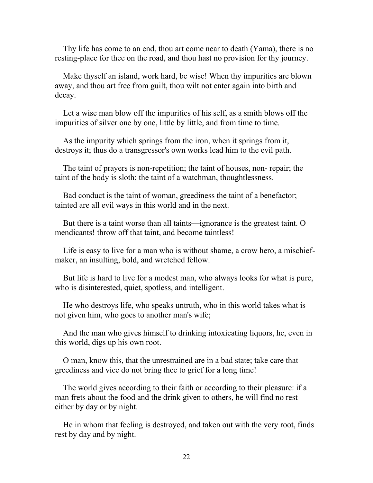Thy life has come to an end, thou art come near to death (Yama), there is no resting-place for thee on the road, and thou hast no provision for thy journey.

 Make thyself an island, work hard, be wise! When thy impurities are blown away, and thou art free from guilt, thou wilt not enter again into birth and decay.

 Let a wise man blow off the impurities of his self, as a smith blows off the impurities of silver one by one, little by little, and from time to time.

 As the impurity which springs from the iron, when it springs from it, destroys it; thus do a transgressor's own works lead him to the evil path.

 The taint of prayers is non-repetition; the taint of houses, non- repair; the taint of the body is sloth; the taint of a watchman, thoughtlessness.

 Bad conduct is the taint of woman, greediness the taint of a benefactor; tainted are all evil ways in this world and in the next.

 But there is a taint worse than all taints—ignorance is the greatest taint. O mendicants! throw off that taint, and become taintless!

 Life is easy to live for a man who is without shame, a crow hero, a mischiefmaker, an insulting, bold, and wretched fellow.

 But life is hard to live for a modest man, who always looks for what is pure, who is disinterested, quiet, spotless, and intelligent.

 He who destroys life, who speaks untruth, who in this world takes what is not given him, who goes to another man's wife;

 And the man who gives himself to drinking intoxicating liquors, he, even in this world, digs up his own root.

 O man, know this, that the unrestrained are in a bad state; take care that greediness and vice do not bring thee to grief for a long time!

 The world gives according to their faith or according to their pleasure: if a man frets about the food and the drink given to others, he will find no rest either by day or by night.

 He in whom that feeling is destroyed, and taken out with the very root, finds rest by day and by night.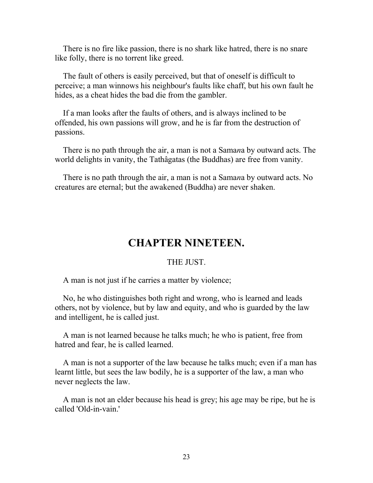There is no fire like passion, there is no shark like hatred, there is no snare like folly, there is no torrent like greed.

 The fault of others is easily perceived, but that of oneself is difficult to perceive; a man winnows his neighbour's faults like chaff, but his own fault he hides, as a cheat hides the bad die from the gambler.

 If a man looks after the faults of others, and is always inclined to be offended, his own passions will grow, and he is far from the destruction of passions.

 There is no path through the air, a man is not a Sama*n*a by outward acts. The world delights in vanity, the Tathâgatas (the Buddhas) are free from vanity.

 There is no path through the air, a man is not a Sama*n*a by outward acts. No creatures are eternal; but the awakened (Buddha) are never shaken.

## **CHAPTER NINETEEN.**

### THE JUST.

A man is not just if he carries a matter by violence;

 No, he who distinguishes both right and wrong, who is learned and leads others, not by violence, but by law and equity, and who is guarded by the law and intelligent, he is called just.

 A man is not learned because he talks much; he who is patient, free from hatred and fear, he is called learned.

 A man is not a supporter of the law because he talks much; even if a man has learnt little, but sees the law bodily, he is a supporter of the law, a man who never neglects the law.

 A man is not an elder because his head is grey; his age may be ripe, but he is called 'Old-in-vain.'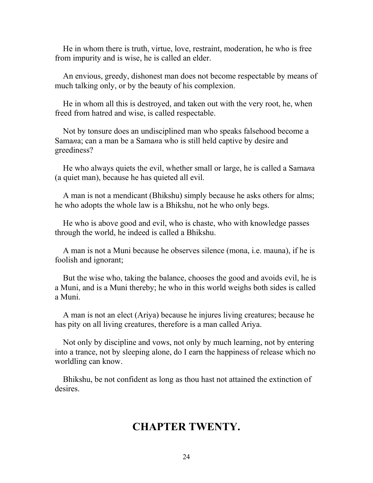He in whom there is truth, virtue, love, restraint, moderation, he who is free from impurity and is wise, he is called an elder.

 An envious, greedy, dishonest man does not become respectable by means of much talking only, or by the beauty of his complexion.

 He in whom all this is destroyed, and taken out with the very root, he, when freed from hatred and wise, is called respectable.

 Not by tonsure does an undisciplined man who speaks falsehood become a Sama*n*a; can a man be a Sama*n*a who is still held captive by desire and greediness?

 He who always quiets the evil, whether small or large, he is called a Sama*n*a (a quiet man), because he has quieted all evil.

 A man is not a mendicant (Bhikshu) simply because he asks others for alms; he who adopts the whole law is a Bhikshu, not he who only begs.

 He who is above good and evil, who is chaste, who with knowledge passes through the world, he indeed is called a Bhikshu.

 A man is not a Muni because he observes silence (mona, i.e. mauna), if he is foolish and ignorant;

 But the wise who, taking the balance, chooses the good and avoids evil, he is a Muni, and is a Muni thereby; he who in this world weighs both sides is called a Muni.

 A man is not an elect (Ariya) because he injures living creatures; because he has pity on all living creatures, therefore is a man called Ariya.

 Not only by discipline and vows, not only by much learning, not by entering into a trance, not by sleeping alone, do I earn the happiness of release which no worldling can know.

 Bhikshu, be not confident as long as thou hast not attained the extinction of desires.

### **CHAPTER TWENTY.**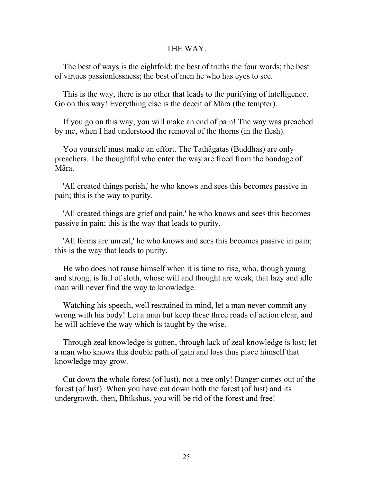#### THE WAY.

 The best of ways is the eightfold; the best of truths the four words; the best of virtues passionlessness; the best of men he who has eyes to see.

 This is the way, there is no other that leads to the purifying of intelligence. Go on this way! Everything else is the deceit of Mâra (the tempter).

 If you go on this way, you will make an end of pain! The way was preached by me, when I had understood the removal of the thorns (in the flesh).

 You yourself must make an effort. The Tathâgatas (Buddhas) are only preachers. The thoughtful who enter the way are freed from the bondage of Mâra.

 'All created things perish,' he who knows and sees this becomes passive in pain; this is the way to purity.

 'All created things are grief and pain,' he who knows and sees this becomes passive in pain; this is the way that leads to purity.

 'All forms are unreal,' he who knows and sees this becomes passive in pain; this is the way that leads to purity.

 He who does not rouse himself when it is time to rise, who, though young and strong, is full of sloth, whose will and thought are weak, that lazy and idle man will never find the way to knowledge.

 Watching his speech, well restrained in mind, let a man never commit any wrong with his body! Let a man but keep these three roads of action clear, and he will achieve the way which is taught by the wise.

 Through zeal knowledge is gotten, through lack of zeal knowledge is lost; let a man who knows this double path of gain and loss thus place himself that knowledge may grow.

 Cut down the whole forest (of lust), not a tree only! Danger comes out of the forest (of lust). When you have cut down both the forest (of lust) and its undergrowth, then, Bhikshus, you will be rid of the forest and free!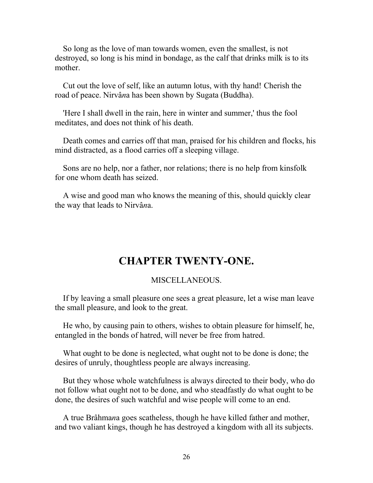So long as the love of man towards women, even the smallest, is not destroyed, so long is his mind in bondage, as the calf that drinks milk is to its mother.

 Cut out the love of self, like an autumn lotus, with thy hand! Cherish the road of peace. Nirvâ*n*a has been shown by Sugata (Buddha).

 'Here I shall dwell in the rain, here in winter and summer,' thus the fool meditates, and does not think of his death.

 Death comes and carries off that man, praised for his children and flocks, his mind distracted, as a flood carries off a sleeping village.

 Sons are no help, nor a father, nor relations; there is no help from kinsfolk for one whom death has seized.

 A wise and good man who knows the meaning of this, should quickly clear the way that leads to Nirvâ*n*a.

## **CHAPTER TWENTY-ONE.**

### MISCELLANEOUS.

 If by leaving a small pleasure one sees a great pleasure, let a wise man leave the small pleasure, and look to the great.

 He who, by causing pain to others, wishes to obtain pleasure for himself, he, entangled in the bonds of hatred, will never be free from hatred.

 What ought to be done is neglected, what ought not to be done is done; the desires of unruly, thoughtless people are always increasing.

 But they whose whole watchfulness is always directed to their body, who do not follow what ought not to be done, and who steadfastly do what ought to be done, the desires of such watchful and wise people will come to an end.

 A true Brâhma*n*a goes scatheless, though he have killed father and mother, and two valiant kings, though he has destroyed a kingdom with all its subjects.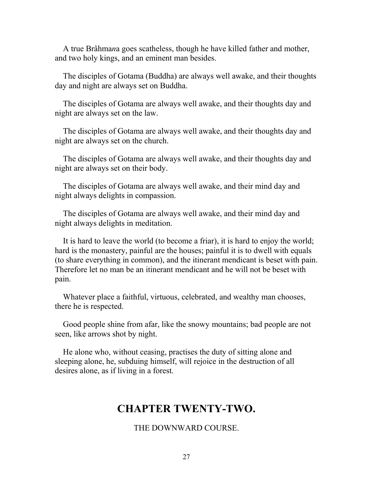A true Brâhma*n*a goes scatheless, though he have killed father and mother, and two holy kings, and an eminent man besides.

 The disciples of Gotama (Buddha) are always well awake, and their thoughts day and night are always set on Buddha.

 The disciples of Gotama are always well awake, and their thoughts day and night are always set on the law.

 The disciples of Gotama are always well awake, and their thoughts day and night are always set on the church.

 The disciples of Gotama are always well awake, and their thoughts day and night are always set on their body.

 The disciples of Gotama are always well awake, and their mind day and night always delights in compassion.

 The disciples of Gotama are always well awake, and their mind day and night always delights in meditation.

 It is hard to leave the world (to become a friar), it is hard to enjoy the world; hard is the monastery, painful are the houses; painful it is to dwell with equals (to share everything in common), and the itinerant mendicant is beset with pain. Therefore let no man be an itinerant mendicant and he will not be beset with pain.

 Whatever place a faithful, virtuous, celebrated, and wealthy man chooses, there he is respected.

 Good people shine from afar, like the snowy mountains; bad people are not seen, like arrows shot by night.

 He alone who, without ceasing, practises the duty of sitting alone and sleeping alone, he, subduing himself, will rejoice in the destruction of all desires alone, as if living in a forest.

## **CHAPTER TWENTY-TWO.**

### THE DOWNWARD COURSE.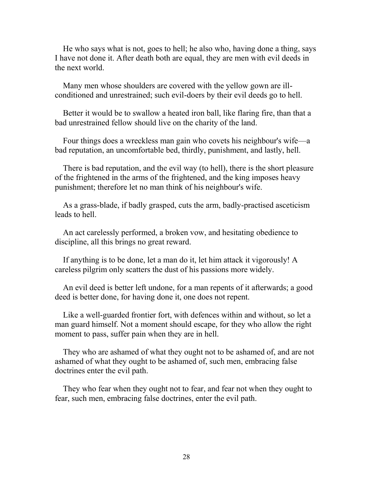He who says what is not, goes to hell; he also who, having done a thing, says I have not done it. After death both are equal, they are men with evil deeds in the next world.

 Many men whose shoulders are covered with the yellow gown are illconditioned and unrestrained; such evil-doers by their evil deeds go to hell.

 Better it would be to swallow a heated iron ball, like flaring fire, than that a bad unrestrained fellow should live on the charity of the land.

 Four things does a wreckless man gain who covets his neighbour's wife—a bad reputation, an uncomfortable bed, thirdly, punishment, and lastly, hell.

 There is bad reputation, and the evil way (to hell), there is the short pleasure of the frightened in the arms of the frightened, and the king imposes heavy punishment; therefore let no man think of his neighbour's wife.

 As a grass-blade, if badly grasped, cuts the arm, badly-practised asceticism leads to hell.

 An act carelessly performed, a broken vow, and hesitating obedience to discipline, all this brings no great reward.

 If anything is to be done, let a man do it, let him attack it vigorously! A careless pilgrim only scatters the dust of his passions more widely.

 An evil deed is better left undone, for a man repents of it afterwards; a good deed is better done, for having done it, one does not repent.

 Like a well-guarded frontier fort, with defences within and without, so let a man guard himself. Not a moment should escape, for they who allow the right moment to pass, suffer pain when they are in hell.

 They who are ashamed of what they ought not to be ashamed of, and are not ashamed of what they ought to be ashamed of, such men, embracing false doctrines enter the evil path.

 They who fear when they ought not to fear, and fear not when they ought to fear, such men, embracing false doctrines, enter the evil path.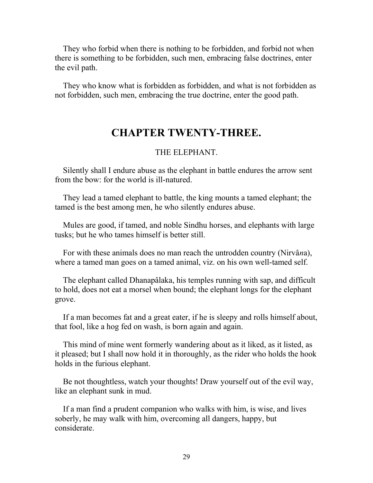They who forbid when there is nothing to be forbidden, and forbid not when there is something to be forbidden, such men, embracing false doctrines, enter the evil path.

 They who know what is forbidden as forbidden, and what is not forbidden as not forbidden, such men, embracing the true doctrine, enter the good path.

## **CHAPTER TWENTY-THREE.**

### THE ELEPHANT.

 Silently shall I endure abuse as the elephant in battle endures the arrow sent from the bow: for the world is ill-natured.

 They lead a tamed elephant to battle, the king mounts a tamed elephant; the tamed is the best among men, he who silently endures abuse.

 Mules are good, if tamed, and noble Sindhu horses, and elephants with large tusks; but he who tames himself is better still.

 For with these animals does no man reach the untrodden country (Nirvâ*n*a), where a tamed man goes on a tamed animal, viz. on his own well-tamed self.

 The elephant called Dhanapâlaka, his temples running with sap, and difficult to hold, does not eat a morsel when bound; the elephant longs for the elephant grove.

 If a man becomes fat and a great eater, if he is sleepy and rolls himself about, that fool, like a hog fed on wash, is born again and again.

 This mind of mine went formerly wandering about as it liked, as it listed, as it pleased; but I shall now hold it in thoroughly, as the rider who holds the hook holds in the furious elephant.

 Be not thoughtless, watch your thoughts! Draw yourself out of the evil way, like an elephant sunk in mud.

 If a man find a prudent companion who walks with him, is wise, and lives soberly, he may walk with him, overcoming all dangers, happy, but considerate.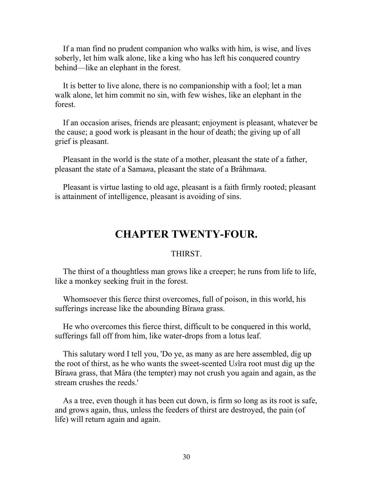If a man find no prudent companion who walks with him, is wise, and lives soberly, let him walk alone, like a king who has left his conquered country behind—like an elephant in the forest.

 It is better to live alone, there is no companionship with a fool; let a man walk alone, let him commit no sin, with few wishes, like an elephant in the forest.

 If an occasion arises, friends are pleasant; enjoyment is pleasant, whatever be the cause; a good work is pleasant in the hour of death; the giving up of all grief is pleasant.

 Pleasant in the world is the state of a mother, pleasant the state of a father, pleasant the state of a Sama*n*a, pleasant the state of a Brâhma*n*a.

 Pleasant is virtue lasting to old age, pleasant is a faith firmly rooted; pleasant is attainment of intelligence, pleasant is avoiding of sins.

## **CHAPTER TWENTY-FOUR.**

#### **THIRST.**

 The thirst of a thoughtless man grows like a creeper; he runs from life to life, like a monkey seeking fruit in the forest.

 Whomsoever this fierce thirst overcomes, full of poison, in this world, his sufferings increase like the abounding Bîra*n*a grass.

 He who overcomes this fierce thirst, difficult to be conquered in this world, sufferings fall off from him, like water-drops from a lotus leaf.

 This salutary word I tell you, 'Do ye, as many as are here assembled, dig up the root of thirst, as he who wants the sweet-scented U*s*îra root must dig up the Bîra*n*a grass, that Mâra (the tempter) may not crush you again and again, as the stream crushes the reeds.'

 As a tree, even though it has been cut down, is firm so long as its root is safe, and grows again, thus, unless the feeders of thirst are destroyed, the pain (of life) will return again and again.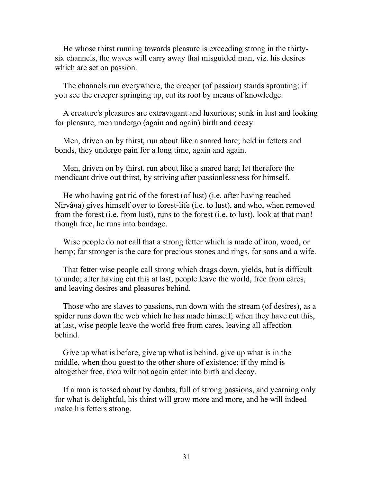He whose thirst running towards pleasure is exceeding strong in the thirtysix channels, the waves will carry away that misguided man, viz. his desires which are set on passion.

 The channels run everywhere, the creeper (of passion) stands sprouting; if you see the creeper springing up, cut its root by means of knowledge.

 A creature's pleasures are extravagant and luxurious; sunk in lust and looking for pleasure, men undergo (again and again) birth and decay.

 Men, driven on by thirst, run about like a snared hare; held in fetters and bonds, they undergo pain for a long time, again and again.

 Men, driven on by thirst, run about like a snared hare; let therefore the mendicant drive out thirst, by striving after passionlessness for himself.

 He who having got rid of the forest (of lust) (i.e. after having reached Nirvâ*n*a) gives himself over to forest-life (i.e. to lust), and who, when removed from the forest (i.e. from lust), runs to the forest (i.e. to lust), look at that man! though free, he runs into bondage.

 Wise people do not call that a strong fetter which is made of iron, wood, or hemp; far stronger is the care for precious stones and rings, for sons and a wife.

 That fetter wise people call strong which drags down, yields, but is difficult to undo; after having cut this at last, people leave the world, free from cares, and leaving desires and pleasures behind.

 Those who are slaves to passions, run down with the stream (of desires), as a spider runs down the web which he has made himself; when they have cut this, at last, wise people leave the world free from cares, leaving all affection behind.

 Give up what is before, give up what is behind, give up what is in the middle, when thou goest to the other shore of existence; if thy mind is altogether free, thou wilt not again enter into birth and decay.

 If a man is tossed about by doubts, full of strong passions, and yearning only for what is delightful, his thirst will grow more and more, and he will indeed make his fetters strong.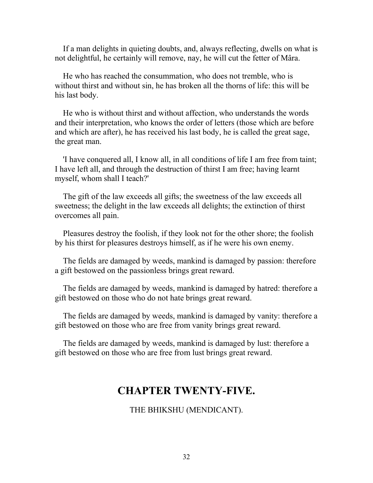If a man delights in quieting doubts, and, always reflecting, dwells on what is not delightful, he certainly will remove, nay, he will cut the fetter of Mâra.

 He who has reached the consummation, who does not tremble, who is without thirst and without sin, he has broken all the thorns of life: this will be his last body.

 He who is without thirst and without affection, who understands the words and their interpretation, who knows the order of letters (those which are before and which are after), he has received his last body, he is called the great sage, the great man.

 'I have conquered all, I know all, in all conditions of life I am free from taint; I have left all, and through the destruction of thirst I am free; having learnt myself, whom shall I teach?'

 The gift of the law exceeds all gifts; the sweetness of the law exceeds all sweetness; the delight in the law exceeds all delights; the extinction of thirst overcomes all pain.

 Pleasures destroy the foolish, if they look not for the other shore; the foolish by his thirst for pleasures destroys himself, as if he were his own enemy.

 The fields are damaged by weeds, mankind is damaged by passion: therefore a gift bestowed on the passionless brings great reward.

 The fields are damaged by weeds, mankind is damaged by hatred: therefore a gift bestowed on those who do not hate brings great reward.

 The fields are damaged by weeds, mankind is damaged by vanity: therefore a gift bestowed on those who are free from vanity brings great reward.

 The fields are damaged by weeds, mankind is damaged by lust: therefore a gift bestowed on those who are free from lust brings great reward.

## **CHAPTER TWENTY-FIVE.**

THE BHIKSHU (MENDICANT).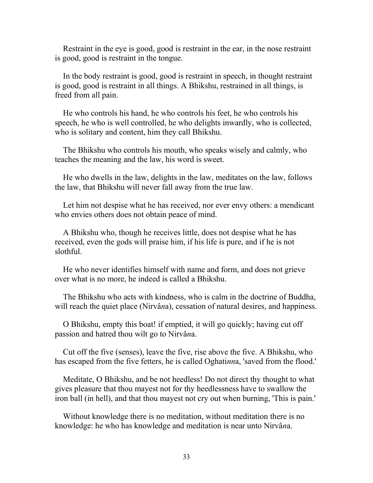Restraint in the eye is good, good is restraint in the ear, in the nose restraint is good, good is restraint in the tongue.

 In the body restraint is good, good is restraint in speech, in thought restraint is good, good is restraint in all things. A Bhikshu, restrained in all things, is freed from all pain.

 He who controls his hand, he who controls his feet, he who controls his speech, he who is well controlled, he who delights inwardly, who is collected, who is solitary and content, him they call Bhikshu.

 The Bhikshu who controls his mouth, who speaks wisely and calmly, who teaches the meaning and the law, his word is sweet.

 He who dwells in the law, delights in the law, meditates on the law, follows the law, that Bhikshu will never fall away from the true law.

 Let him not despise what he has received, nor ever envy others: a mendicant who envies others does not obtain peace of mind.

 A Bhikshu who, though he receives little, does not despise what he has received, even the gods will praise him, if his life is pure, and if he is not slothful.

 He who never identifies himself with name and form, and does not grieve over what is no more, he indeed is called a Bhikshu.

 The Bhikshu who acts with kindness, who is calm in the doctrine of Buddha, will reach the quiet place (Nirvâ*n*a), cessation of natural desires, and happiness.

 O Bhikshu, empty this boat! if emptied, it will go quickly; having cut off passion and hatred thou wilt go to Nirvâ*n*a.

 Cut off the five (senses), leave the five, rise above the five. A Bhikshu, who has escaped from the five fetters, he is called Oghati*nn*a, 'saved from the flood.'

 Meditate, O Bhikshu, and be not heedless! Do not direct thy thought to what gives pleasure that thou mayest not for thy heedlessness have to swallow the iron ball (in hell), and that thou mayest not cry out when burning, 'This is pain.'

 Without knowledge there is no meditation, without meditation there is no knowledge: he who has knowledge and meditation is near unto Nirvâ*n*a.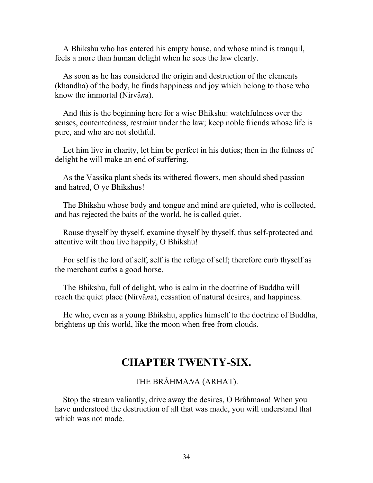A Bhikshu who has entered his empty house, and whose mind is tranquil, feels a more than human delight when he sees the law clearly.

 As soon as he has considered the origin and destruction of the elements (khandha) of the body, he finds happiness and joy which belong to those who know the immortal (Nirvâ*n*a).

 And this is the beginning here for a wise Bhikshu: watchfulness over the senses, contentedness, restraint under the law; keep noble friends whose life is pure, and who are not slothful.

 Let him live in charity, let him be perfect in his duties; then in the fulness of delight he will make an end of suffering.

 As the Vassika plant sheds its withered flowers, men should shed passion and hatred, O ye Bhikshus!

 The Bhikshu whose body and tongue and mind are quieted, who is collected, and has rejected the baits of the world, he is called quiet.

 Rouse thyself by thyself, examine thyself by thyself, thus self-protected and attentive wilt thou live happily, O Bhikshu!

 For self is the lord of self, self is the refuge of self; therefore curb thyself as the merchant curbs a good horse.

 The Bhikshu, full of delight, who is calm in the doctrine of Buddha will reach the quiet place (Nirvâ*n*a), cessation of natural desires, and happiness.

 He who, even as a young Bhikshu, applies himself to the doctrine of Buddha, brightens up this world, like the moon when free from clouds.

## **CHAPTER TWENTY-SIX.**

### THE BRÂHMA*N*A (ARHAT).

 Stop the stream valiantly, drive away the desires, O Brâhma*n*a! When you have understood the destruction of all that was made, you will understand that which was not made.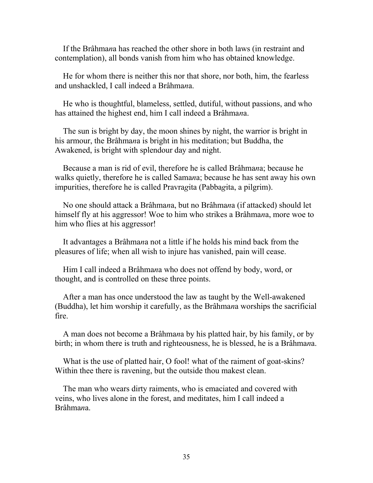If the Brâhma*n*a has reached the other shore in both laws (in restraint and contemplation), all bonds vanish from him who has obtained knowledge.

 He for whom there is neither this nor that shore, nor both, him, the fearless and unshackled, I call indeed a Brâhma*n*a.

 He who is thoughtful, blameless, settled, dutiful, without passions, and who has attained the highest end, him I call indeed a Brâhma*n*a.

 The sun is bright by day, the moon shines by night, the warrior is bright in his armour, the Brâhma*n*a is bright in his meditation; but Buddha, the Awakened, is bright with splendour day and night.

 Because a man is rid of evil, therefore he is called Brâhma*n*a; because he walks quietly, therefore he is called Sama*n*a; because he has sent away his own impurities, therefore he is called Pravra*g*ita (Pabba*g*ita, a pilgrim).

 No one should attack a Brâhma*n*a, but no Brâhma*n*a (if attacked) should let himself fly at his aggressor! Woe to him who strikes a Brâhma*n*a, more woe to him who flies at his aggressor!

 It advantages a Brâhma*n*a not a little if he holds his mind back from the pleasures of life; when all wish to injure has vanished, pain will cease.

 Him I call indeed a Brâhma*n*a who does not offend by body, word, or thought, and is controlled on these three points.

 After a man has once understood the law as taught by the Well-awakened (Buddha), let him worship it carefully, as the Brâhma*n*a worships the sacrificial fire.

 A man does not become a Brâhma*n*a by his platted hair, by his family, or by birth; in whom there is truth and righteousness, he is blessed, he is a Brâhma*n*a.

What is the use of platted hair, O fool! what of the raiment of goat-skins? Within thee there is ravening, but the outside thou makest clean.

 The man who wears dirty raiments, who is emaciated and covered with veins, who lives alone in the forest, and meditates, him I call indeed a Brâhma*n*a.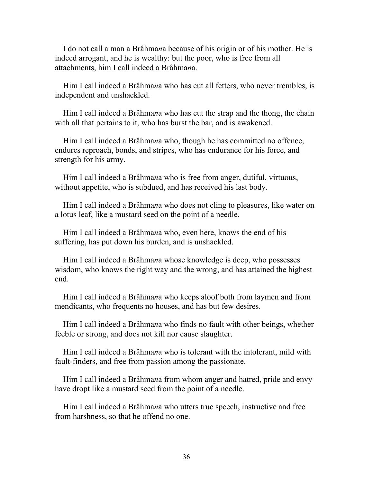I do not call a man a Brâhma*n*a because of his origin or of his mother. He is indeed arrogant, and he is wealthy: but the poor, who is free from all attachments, him I call indeed a Brâhma*n*a.

 Him I call indeed a Brâhma*n*a who has cut all fetters, who never trembles, is independent and unshackled.

 Him I call indeed a Brâhma*n*a who has cut the strap and the thong, the chain with all that pertains to it, who has burst the bar, and is awakened.

 Him I call indeed a Brâhma*n*a who, though he has committed no offence, endures reproach, bonds, and stripes, who has endurance for his force, and strength for his army.

 Him I call indeed a Brâhma*n*a who is free from anger, dutiful, virtuous, without appetite, who is subdued, and has received his last body.

 Him I call indeed a Brâhma*n*a who does not cling to pleasures, like water on a lotus leaf, like a mustard seed on the point of a needle.

 Him I call indeed a Brâhma*n*a who, even here, knows the end of his suffering, has put down his burden, and is unshackled.

 Him I call indeed a Brâhma*n*a whose knowledge is deep, who possesses wisdom, who knows the right way and the wrong, and has attained the highest end.

 Him I call indeed a Brâhma*n*a who keeps aloof both from laymen and from mendicants, who frequents no houses, and has but few desires.

 Him I call indeed a Brâhma*n*a who finds no fault with other beings, whether feeble or strong, and does not kill nor cause slaughter.

 Him I call indeed a Brâhma*n*a who is tolerant with the intolerant, mild with fault-finders, and free from passion among the passionate.

 Him I call indeed a Brâhma*n*a from whom anger and hatred, pride and envy have dropt like a mustard seed from the point of a needle.

 Him I call indeed a Brâhma*n*a who utters true speech, instructive and free from harshness, so that he offend no one.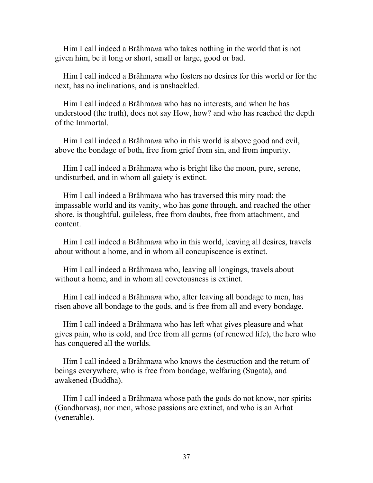Him I call indeed a Brâhma*n*a who takes nothing in the world that is not given him, be it long or short, small or large, good or bad.

 Him I call indeed a Brâhma*n*a who fosters no desires for this world or for the next, has no inclinations, and is unshackled.

 Him I call indeed a Brâhma*n*a who has no interests, and when he has understood (the truth), does not say How, how? and who has reached the depth of the Immortal.

 Him I call indeed a Brâhma*n*a who in this world is above good and evil, above the bondage of both, free from grief from sin, and from impurity.

 Him I call indeed a Brâhma*n*a who is bright like the moon, pure, serene, undisturbed, and in whom all gaiety is extinct.

 Him I call indeed a Brâhma*n*a who has traversed this miry road; the impassable world and its vanity, who has gone through, and reached the other shore, is thoughtful, guileless, free from doubts, free from attachment, and content.

 Him I call indeed a Brâhma*n*a who in this world, leaving all desires, travels about without a home, and in whom all concupiscence is extinct.

 Him I call indeed a Brâhma*n*a who, leaving all longings, travels about without a home, and in whom all covetousness is extinct.

 Him I call indeed a Brâhma*n*a who, after leaving all bondage to men, has risen above all bondage to the gods, and is free from all and every bondage.

 Him I call indeed a Brâhma*n*a who has left what gives pleasure and what gives pain, who is cold, and free from all germs (of renewed life), the hero who has conquered all the worlds.

 Him I call indeed a Brâhma*n*a who knows the destruction and the return of beings everywhere, who is free from bondage, welfaring (Sugata), and awakened (Buddha).

 Him I call indeed a Brâhma*n*a whose path the gods do not know, nor spirits (Gandharvas), nor men, whose passions are extinct, and who is an Arhat (venerable).